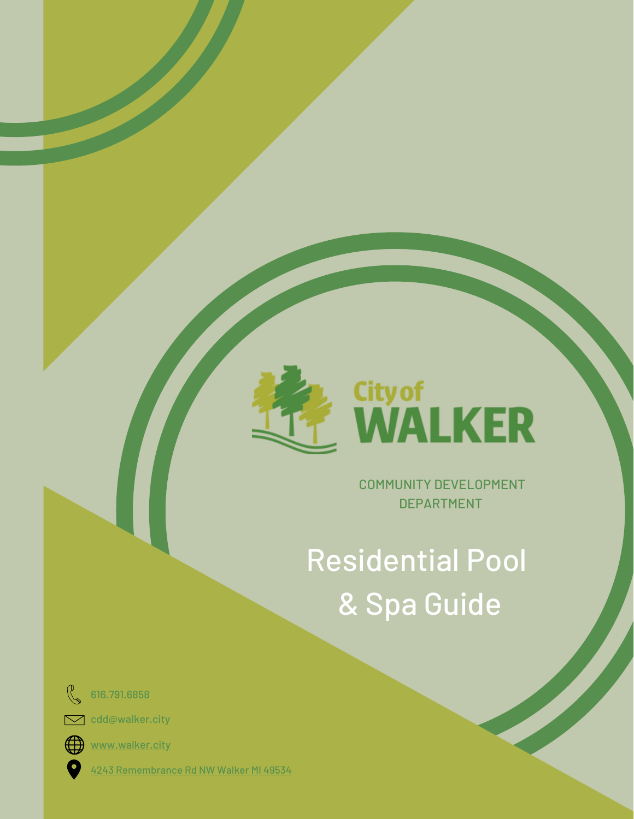

COMMUNITY DEVELOPMENT DEPARTMENT

# Residential Pool & Spa Guide



616.791.6858

 $\sum$  cdd@walker.city



[www.walke](http://www.walker.city/)r.city

4243 [Remembrance](https://goo.gl/maps/5QHzHVERV2wh6oY57) Rd NW Walker MI 49534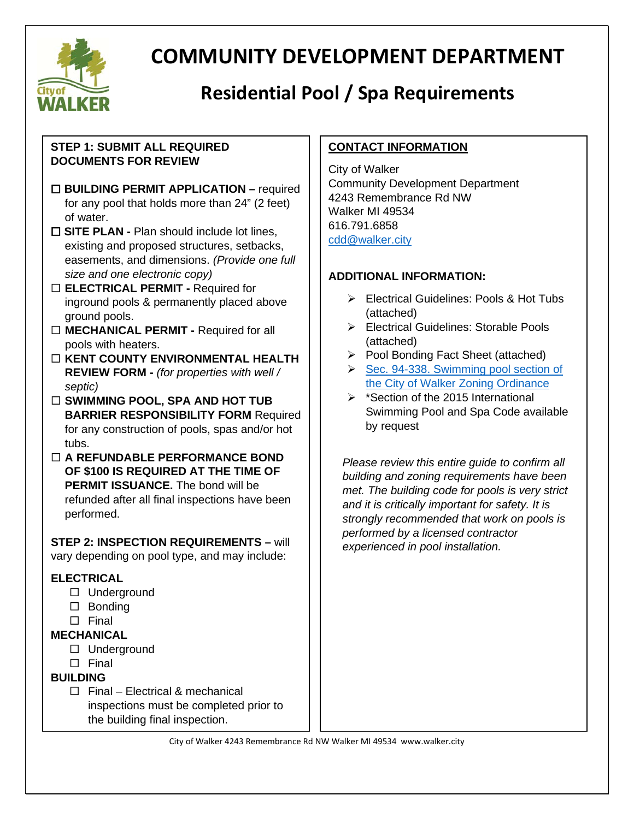

# **COMMUNITY DEVELOPMENT DEPARTMENT**

# **Residential Pool / Spa Requirements**

#### **STEP 1: SUBMIT ALL REQUIRED DOCUMENTS FOR REVIEW**

- **BUILDING PERMIT APPLICATION –** required for any pool that holds more than 24" (2 feet) of water.
- **SITE PLAN -** Plan should include lot lines, existing and proposed structures, setbacks, easements, and dimensions. *(Provide one full size and one electronic copy)*
- **ELECTRICAL PERMIT -** Required for inground pools & permanently placed above ground pools.
- **MECHANICAL PERMIT -** Required for all pools with heaters.
- **KENT COUNTY ENVIRONMENTAL HEALTH REVIEW FORM -** *(for properties with well / septic)*
- □ SWIMMING POOL, SPA AND HOT TUB **BARRIER RESPONSIBILITY FORM Required** for any construction of pools, spas and/or hot tubs.
- **A REFUNDABLE PERFORMANCE BOND OF \$100 IS REQUIRED AT THE TIME OF PERMIT ISSUANCE.** The bond will be refunded after all final inspections have been performed.

#### **STEP 2: INSPECTION REQUIREMENTS –** will

vary depending on pool type, and may include:

#### **ELECTRICAL**

- □ Underground
- $\square$  Bonding
- $\square$  Final

#### **MECHANICAL**

- □ Underground
- $\Box$  Final

#### **BUILDING**

 $\Box$  Final – Electrical & mechanical inspections must be completed prior to the building final inspection.

#### **CONTACT INFORMATION**

City of Walker Community Development Department 4243 Remembrance Rd NW Walker MI 49534 616.791.6858 [cdd@walker.city](mailto:cdd@walker.city)

#### **ADDITIONAL INFORMATION:**

- Electrical Guidelines: Pools & Hot Tubs (attached)
- Electrical Guidelines: Storable Pools (attached)
- ▶ Pool Bonding Fact Sheet (attached)
- Sec. 94-338. Swimming pool section of [the City of Walker Zoning Ordinance](https://library.municode.com/mi/walker/codes/code_of_ordinances?nodeId=COOR_CH94ZO_ARTXIISUDIRE_S94-338ACBUSWPO)
- $\triangleright$  \*Section of the 2015 International Swimming Pool and Spa Code available by request

*Please review this entire guide to confirm all building and zoning requirements have been met. The building code for pools is very strict and it is critically important for safety. It is strongly recommended that work on pools is performed by a licensed contractor experienced in pool installation.*

City of Walker 4243 Remembrance Rd NW Walker MI 49534 www.walker.city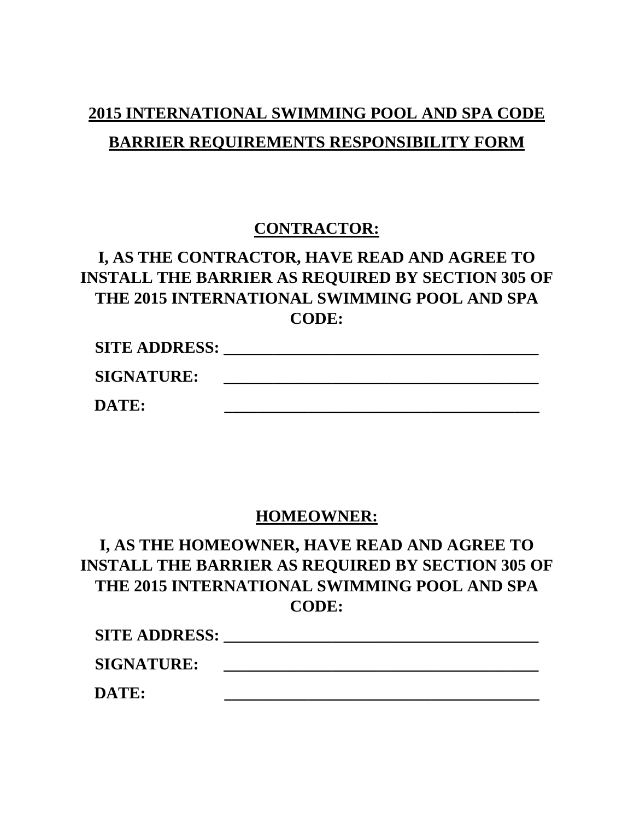# **2015 INTERNATIONAL SWIMMING POOL AND SPA CODE BARRIER REQUIREMENTS RESPONSIBILITY FORM**

#### **CONTRACTOR:**

#### **I, AS THE CONTRACTOR, HAVE READ AND AGREE TO INSTALL THE BARRIER AS REQUIRED BY SECTION 305 OF THE 2015 INTERNATIONAL SWIMMING POOL AND SPA CODE:**

| <b>SITE ADDRESS:</b> |  |
|----------------------|--|
| <b>SIGNATURE:</b>    |  |
| DATE:                |  |

#### **HOMEOWNER:**

### **I, AS THE HOMEOWNER, HAVE READ AND AGREE TO INSTALL THE BARRIER AS REQUIRED BY SECTION 305 OF THE 2015 INTERNATIONAL SWIMMING POOL AND SPA CODE:**

| <b>SITE ADDRESS:</b> |  |
|----------------------|--|
| <b>SIGNATURE:</b>    |  |
| DATE:                |  |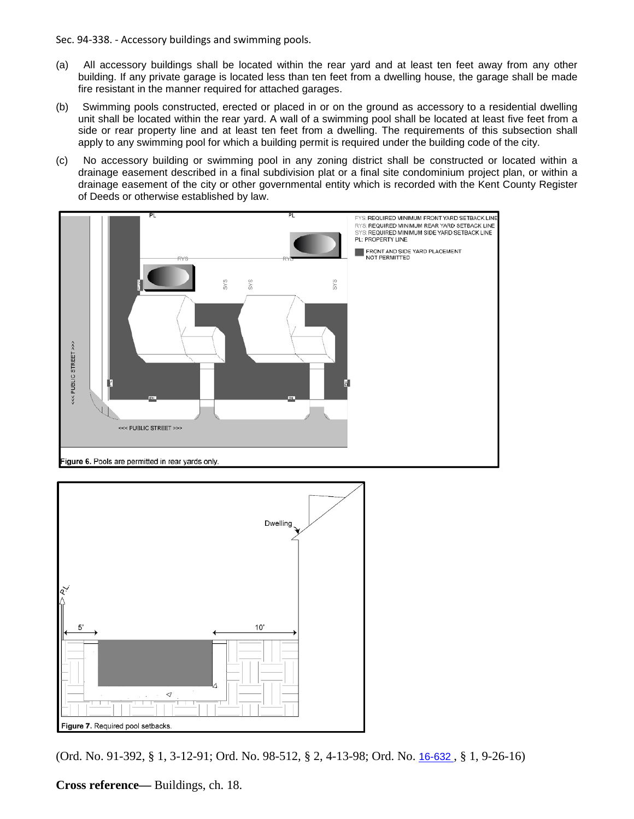Sec. 94-338. - Accessory buildings and swimming pools.

- (a) All accessory buildings shall be located within the rear yard and at least ten feet away from any other building. If any private garage is located less than ten feet from a dwelling house, the garage shall be made fire resistant in the manner required for attached garages.
- (b) Swimming pools constructed, erected or placed in or on the ground as accessory to a residential dwelling unit shall be located within the rear yard. A wall of a swimming pool shall be located at least five feet from a side or rear property line and at least ten feet from a dwelling. The requirements of this subsection shall apply to any swimming pool for which a building permit is required under the building code of the city.
- (c) No accessory building or swimming pool in any zoning district shall be constructed or located within a drainage easement described in a final subdivision plat or a final site condominium project plan, or within a drainage easement of the city or other governmental entity which is recorded with the Kent County Register of Deeds or otherwise established by law.





(Ord. No. 91-392, § 1, 3-12-91; Ord. No. 98-512, § 2, 4-13-98; Ord. No. [16-632](http://newords.municode.com/readordinance.aspx?ordinanceid=794401&datasource=ordbank) , § 1, 9-26-16)

**Cross reference—** Buildings, ch. 18.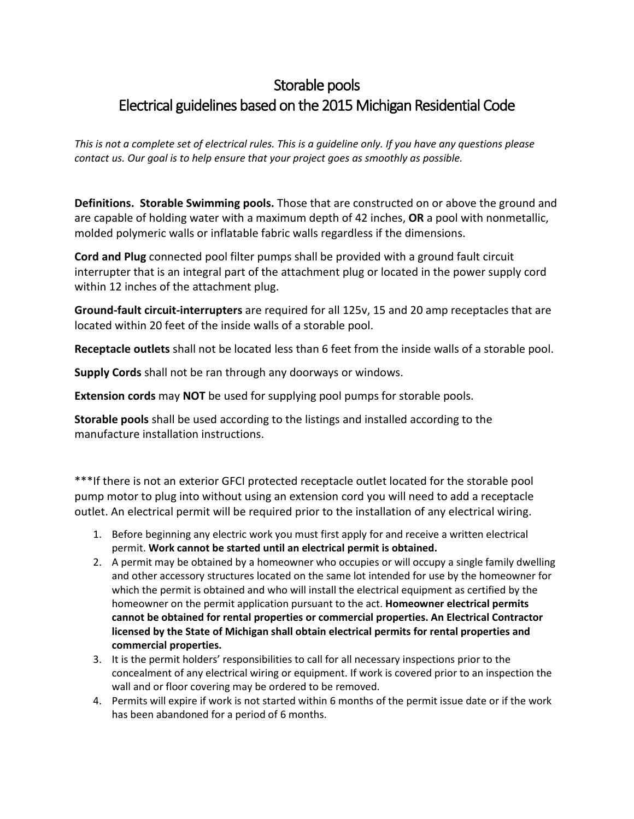#### Storable pools Electrical guidelines based on the 2015 Michigan Residential Code

*This is not a complete set of electrical rules. This is a guideline only. If you have any questions please contact us. Our goal is to help ensure that your project goes as smoothly as possible.*

**Definitions. Storable Swimming pools.** Those that are constructed on or above the ground and are capable of holding water with a maximum depth of 42 inches, **OR** a pool with nonmetallic, molded polymeric walls or inflatable fabric walls regardless if the dimensions.

**Cord and Plug** connected pool filter pumps shall be provided with a ground fault circuit interrupter that is an integral part of the attachment plug or located in the power supply cord within 12 inches of the attachment plug.

**Ground-fault circuit-interrupters** are required for all 125v, 15 and 20 amp receptacles that are located within 20 feet of the inside walls of a storable pool.

**Receptacle outlets** shall not be located less than 6 feet from the inside walls of a storable pool.

**Supply Cords** shall not be ran through any doorways or windows.

**Extension cords** may **NOT** be used for supplying pool pumps for storable pools.

**Storable pools** shall be used according to the listings and installed according to the manufacture installation instructions.

\*\*\*If there is not an exterior GFCI protected receptacle outlet located for the storable pool pump motor to plug into without using an extension cord you will need to add a receptacle outlet. An electrical permit will be required prior to the installation of any electrical wiring.

- 1. Before beginning any electric work you must first apply for and receive a written electrical permit. **Work cannot be started until an electrical permit is obtained.**
- 2. A permit may be obtained by a homeowner who occupies or will occupy a single family dwelling and other accessory structures located on the same lot intended for use by the homeowner for which the permit is obtained and who will install the electrical equipment as certified by the homeowner on the permit application pursuant to the act. **Homeowner electrical permits cannot be obtained for rental properties or commercial properties. An Electrical Contractor licensed by the State of Michigan shall obtain electrical permits for rental properties and commercial properties.**
- 3. It is the permit holders' responsibilities to call for all necessary inspections prior to the concealment of any electrical wiring or equipment. If work is covered prior to an inspection the wall and or floor covering may be ordered to be removed.
- 4. Permits will expire if work is not started within 6 months of the permit issue date or if the work has been abandoned for a period of 6 months.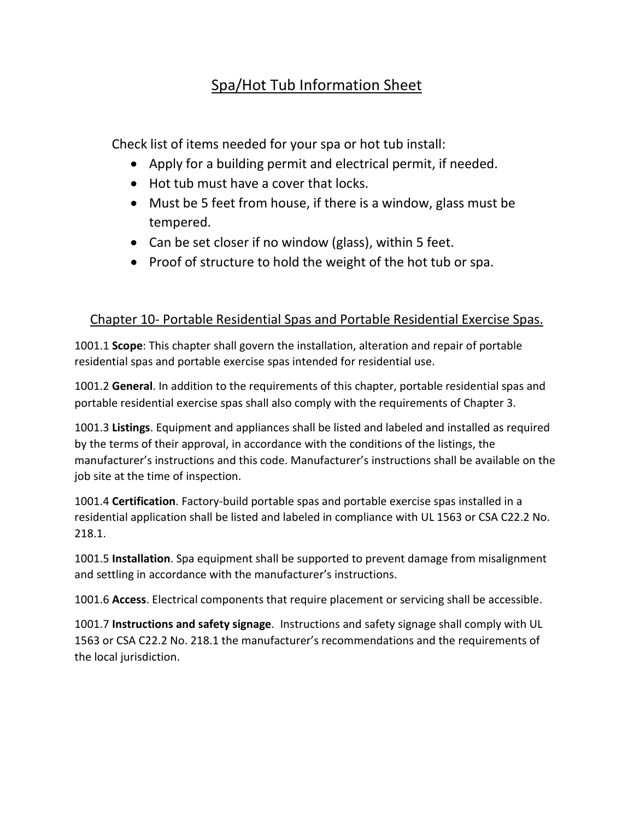#### Spa/Hot Tub Information Sheet

Check list of items needed for your spa or hot tub install:

- Apply for a building permit and electrical permit, if needed.
- Hot tub must have a cover that locks.
- Must be 5 feet from house, if there is a window, glass must be tempered.
- Can be set closer if no window (glass), within 5 feet.
- Proof of structure to hold the weight of the hot tub or spa.

#### Chapter 10- Portable Residential Spas and Portable Residential Exercise Spas.

1001.1 **Scope**: This chapter shall govern the installation, alteration and repair of portable residential spas and portable exercise spas intended for residential use.

1001.2 **General**. In addition to the requirements of this chapter, portable residential spas and portable residential exercise spas shall also comply with the requirements of Chapter 3.

1001.3 **Listings**. Equipment and appliances shall be listed and labeled and installed as required by the terms of their approval, in accordance with the conditions of the listings, the manufacturer's instructions and this code. Manufacturer's instructions shall be available on the job site at the time of inspection.

1001.4 **Certification**. Factory-build portable spas and portable exercise spas installed in a residential application shall be listed and labeled in compliance with UL 1563 or CSA C22.2 No. 218.1.

1001.5 **Installation**. Spa equipment shall be supported to prevent damage from misalignment and settling in accordance with the manufacturer's instructions.

1001.6 **Access**. Electrical components that require placement or servicing shall be accessible.

1001.7 **Instructions and safety signage**. Instructions and safety signage shall comply with UL 1563 or CSA C22.2 No. 218.1 the manufacturer's recommendations and the requirements of the local jurisdiction.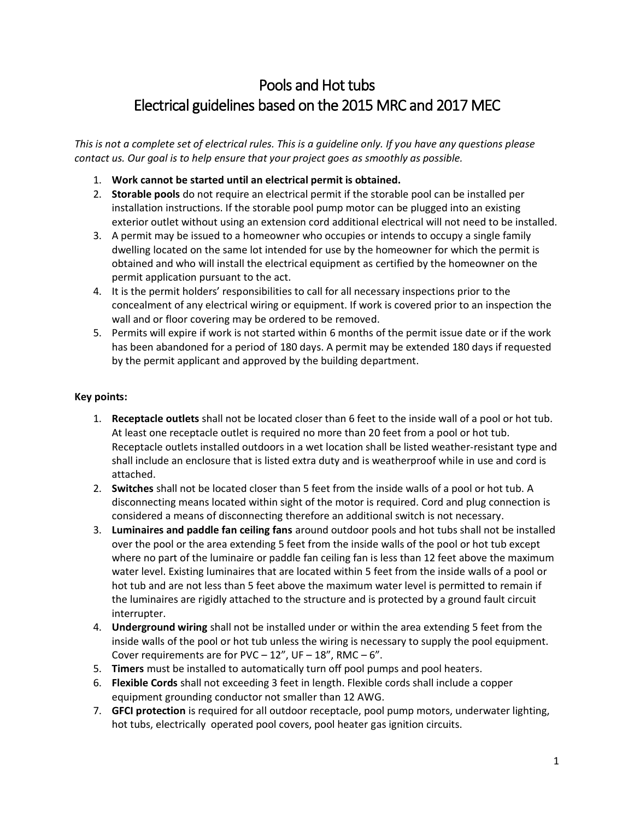### Pools and Hot tubs Electrical guidelines based on the 2015 MRC and 2017 MEC

*This is not a complete set of electrical rules. This is a guideline only. If you have any questions please contact us. Our goal is to help ensure that your project goes as smoothly as possible.*

- 1. **Work cannot be started until an electrical permit is obtained.**
- 2. **Storable pools** do not require an electrical permit if the storable pool can be installed per installation instructions. If the storable pool pump motor can be plugged into an existing exterior outlet without using an extension cord additional electrical will not need to be installed.
- 3. A permit may be issued to a homeowner who occupies or intends to occupy a single family dwelling located on the same lot intended for use by the homeowner for which the permit is obtained and who will install the electrical equipment as certified by the homeowner on the permit application pursuant to the act.
- 4. It is the permit holders' responsibilities to call for all necessary inspections prior to the concealment of any electrical wiring or equipment. If work is covered prior to an inspection the wall and or floor covering may be ordered to be removed.
- 5. Permits will expire if work is not started within 6 months of the permit issue date or if the work has been abandoned for a period of 180 days. A permit may be extended 180 days if requested by the permit applicant and approved by the building department.

#### **Key points:**

- 1. **Receptacle outlets** shall not be located closer than 6 feet to the inside wall of a pool or hot tub. At least one receptacle outlet is required no more than 20 feet from a pool or hot tub. Receptacle outlets installed outdoors in a wet location shall be listed weather-resistant type and shall include an enclosure that is listed extra duty and is weatherproof while in use and cord is attached.
- 2. **Switches** shall not be located closer than 5 feet from the inside walls of a pool or hot tub. A disconnecting means located within sight of the motor is required. Cord and plug connection is considered a means of disconnecting therefore an additional switch is not necessary.
- 3. **Luminaires and paddle fan ceiling fans** around outdoor pools and hot tubs shall not be installed over the pool or the area extending 5 feet from the inside walls of the pool or hot tub except where no part of the luminaire or paddle fan ceiling fan is less than 12 feet above the maximum water level. Existing luminaires that are located within 5 feet from the inside walls of a pool or hot tub and are not less than 5 feet above the maximum water level is permitted to remain if the luminaires are rigidly attached to the structure and is protected by a ground fault circuit interrupter.
- 4. **Underground wiring** shall not be installed under or within the area extending 5 feet from the inside walls of the pool or hot tub unless the wiring is necessary to supply the pool equipment. Cover requirements are for PVC  $-12$ ", UF  $-18$ ", RMC  $-6$ ".
- 5. **Timers** must be installed to automatically turn off pool pumps and pool heaters.
- 6. **Flexible Cords** shall not exceeding 3 feet in length. Flexible cords shall include a copper equipment grounding conductor not smaller than 12 AWG.
- 7. **GFCI protection** is required for all outdoor receptacle, pool pump motors, underwater lighting, hot tubs, electrically operated pool covers, pool heater gas ignition circuits.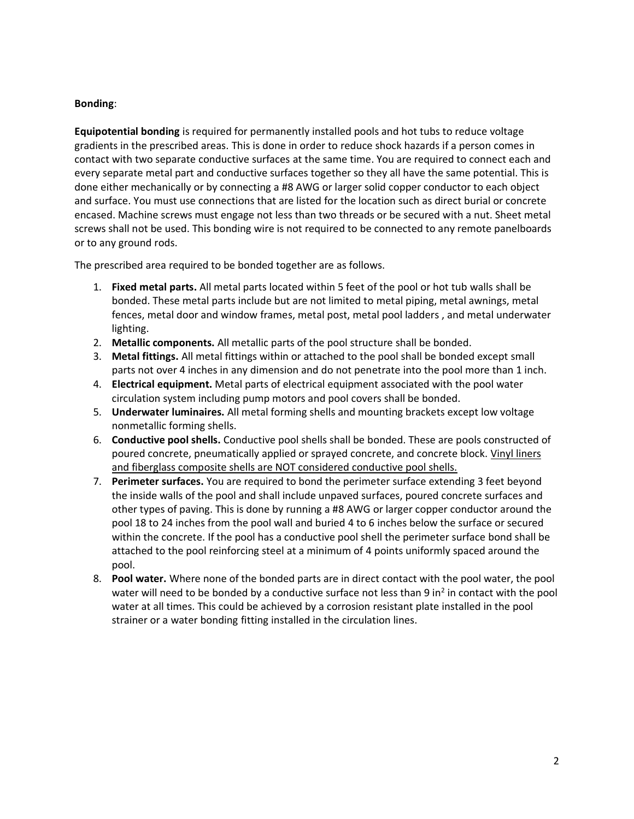#### **Bonding**:

**Equipotential bonding** is required for permanently installed pools and hot tubs to reduce voltage gradients in the prescribed areas. This is done in order to reduce shock hazards if a person comes in contact with two separate conductive surfaces at the same time. You are required to connect each and every separate metal part and conductive surfaces together so they all have the same potential. This is done either mechanically or by connecting a #8 AWG or larger solid copper conductor to each object and surface. You must use connections that are listed for the location such as direct burial or concrete encased. Machine screws must engage not less than two threads or be secured with a nut. Sheet metal screws shall not be used. This bonding wire is not required to be connected to any remote panelboards or to any ground rods.

The prescribed area required to be bonded together are as follows.

- 1. **Fixed metal parts.** All metal parts located within 5 feet of the pool or hot tub walls shall be bonded. These metal parts include but are not limited to metal piping, metal awnings, metal fences, metal door and window frames, metal post, metal pool ladders , and metal underwater lighting.
- 2. **Metallic components.** All metallic parts of the pool structure shall be bonded.
- 3. **Metal fittings.** All metal fittings within or attached to the pool shall be bonded except small parts not over 4 inches in any dimension and do not penetrate into the pool more than 1 inch.
- 4. **Electrical equipment.** Metal parts of electrical equipment associated with the pool water circulation system including pump motors and pool covers shall be bonded.
- 5. **Underwater luminaires.** All metal forming shells and mounting brackets except low voltage nonmetallic forming shells.
- 6. **Conductive pool shells.** Conductive pool shells shall be bonded. These are pools constructed of poured concrete, pneumatically applied or sprayed concrete, and concrete block. Vinyl liners and fiberglass composite shells are NOT considered conductive pool shells.
- 7. **Perimeter surfaces.** You are required to bond the perimeter surface extending 3 feet beyond the inside walls of the pool and shall include unpaved surfaces, poured concrete surfaces and other types of paving. This is done by running a #8 AWG or larger copper conductor around the pool 18 to 24 inches from the pool wall and buried 4 to 6 inches below the surface or secured within the concrete. If the pool has a conductive pool shell the perimeter surface bond shall be attached to the pool reinforcing steel at a minimum of 4 points uniformly spaced around the pool.
- 8. **Pool water.** Where none of the bonded parts are in direct contact with the pool water, the pool water will need to be bonded by a conductive surface not less than 9 in<sup>2</sup> in contact with the pool water at all times. This could be achieved by a corrosion resistant plate installed in the pool strainer or a water bonding fitting installed in the circulation lines.